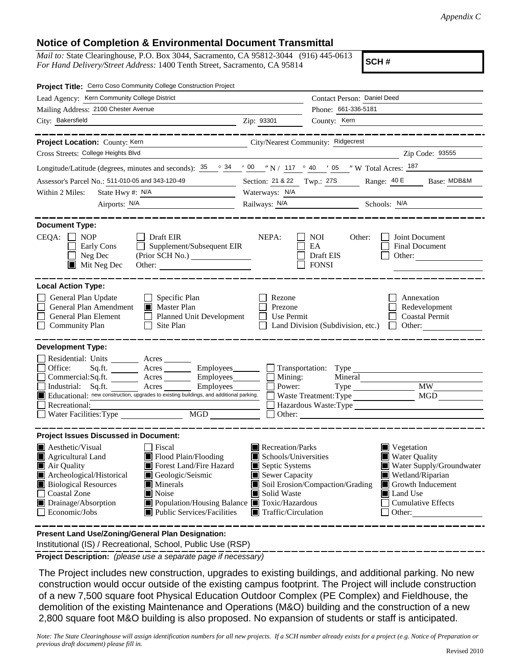## **Notice of Completion & Environmental Document Transmittal**

*Mail to:* State Clearinghouse, P.O. Box 3044, Sacramento, CA 95812-3044 (916) 445-0613 *For Hand Delivery/Street Address:* 1400 Tenth Street, Sacramento, CA 95814

**SCH #**

| Project Title: Cerro Coso Community College Construction Project                                                                                                                                                                                                                      |                                                                                                                                                                                      |                                                                                                                    |                                                         |                                                                                                                                                                    |  |  |
|---------------------------------------------------------------------------------------------------------------------------------------------------------------------------------------------------------------------------------------------------------------------------------------|--------------------------------------------------------------------------------------------------------------------------------------------------------------------------------------|--------------------------------------------------------------------------------------------------------------------|---------------------------------------------------------|--------------------------------------------------------------------------------------------------------------------------------------------------------------------|--|--|
| Lead Agency: Kern Community College District                                                                                                                                                                                                                                          |                                                                                                                                                                                      |                                                                                                                    | Contact Person: Daniel Deed                             |                                                                                                                                                                    |  |  |
| Mailing Address: 2100 Chester Avenue                                                                                                                                                                                                                                                  |                                                                                                                                                                                      | Phone: 661-336-5181                                                                                                |                                                         |                                                                                                                                                                    |  |  |
| City: Bakersfield                                                                                                                                                                                                                                                                     |                                                                                                                                                                                      | Zip: 93301                                                                                                         | County: Kern                                            |                                                                                                                                                                    |  |  |
|                                                                                                                                                                                                                                                                                       |                                                                                                                                                                                      |                                                                                                                    |                                                         |                                                                                                                                                                    |  |  |
| Project Location: County: Kern                                                                                                                                                                                                                                                        |                                                                                                                                                                                      | City/Nearest Community: Ridgecrest                                                                                 |                                                         |                                                                                                                                                                    |  |  |
| Cross Streets: College Heights Blvd                                                                                                                                                                                                                                                   |                                                                                                                                                                                      |                                                                                                                    |                                                         | Zip Code: 93555                                                                                                                                                    |  |  |
| Longitude/Latitude (degrees, minutes and seconds): $\frac{35}{25}$ $\frac{\circ}{6}$ $\frac{34}{24}$ $\frac{1}{2}$ $\frac{00}{24}$ $\frac{1}{2}$ $\frac{1}{2}$ 117 $\frac{\circ}{6}$ 40 $\frac{1}{2}$ $\frac{1}{2}$ $\frac{1}{2}$ $\frac{187}{24}$                                    |                                                                                                                                                                                      |                                                                                                                    |                                                         |                                                                                                                                                                    |  |  |
| Assessor's Parcel No.: 511-010-05 and 343-120-49                                                                                                                                                                                                                                      |                                                                                                                                                                                      | Section: 21 & 22 Twp.: 27S                                                                                         |                                                         | Range: 40 E Base: MDB&M                                                                                                                                            |  |  |
| State Hwy #: N/A<br>Within 2 Miles:<br>the company of the company of the company                                                                                                                                                                                                      |                                                                                                                                                                                      | Waterways: N/A                                                                                                     |                                                         |                                                                                                                                                                    |  |  |
| Airports: <u>N/A</u>                                                                                                                                                                                                                                                                  |                                                                                                                                                                                      |                                                                                                                    | Railways: N/A Schools: N/A                              |                                                                                                                                                                    |  |  |
| <b>Document Type:</b><br>$CEQA: \Box NP$<br>$\Box$ Draft EIR<br>Early Cons<br>Neg Dec<br>$\blacksquare$ Mit Neg Dec                                                                                                                                                                   | Supplement/Subsequent EIR                                                                                                                                                            | NEPA:                                                                                                              | <b>NOI</b><br>Other:<br>EA<br>Draft EIS<br><b>FONSI</b> | Joint Document<br><b>Final Document</b><br>Other:                                                                                                                  |  |  |
| <b>Local Action Type:</b><br>General Plan Update<br>$\Box$ Specific Plan<br>General Plan Amendment<br>Master Plan<br>General Plan Element<br>Planned Unit Development<br><b>Community Plan</b><br>Site Plan                                                                           |                                                                                                                                                                                      | Rezone<br>Prezone<br>Use Permit<br>Land Division (Subdivision, etc.)                                               |                                                         | Annexation<br>Redevelopment<br><b>Coastal Permit</b><br>Other:                                                                                                     |  |  |
| <b>Development Type:</b>                                                                                                                                                                                                                                                              |                                                                                                                                                                                      |                                                                                                                    |                                                         |                                                                                                                                                                    |  |  |
| Residential: Units ________ Acres _______<br>Office:<br>Sq.ft. $\qquad$<br>Commercial:Sq.ft. ________ Acres __________ Employees_________ $\Box$<br>Educational: new construction, upgrades to existing buildings, and additional parking.<br>Recreational:<br>Water Facilities: Type | Acres Employees Transportation: Type<br>Employees<br>MGD                                                                                                                             | Mining:<br>Power:                                                                                                  | Mineral<br>Waste Treatment: Type                        | <b>MW</b><br><b>MGD</b><br>Hazardous Waste:Type<br>Other:                                                                                                          |  |  |
| <b>Project Issues Discussed in Document:</b>                                                                                                                                                                                                                                          |                                                                                                                                                                                      |                                                                                                                    |                                                         |                                                                                                                                                                    |  |  |
| $\blacksquare$ Aesthetic/Visual<br>$\blacksquare$ Agricultural Land<br>Air Quality<br>Archeological/Historical<br><b>Biological Resources</b><br><b>Coastal Zone</b><br>$\blacksquare$ Noise<br>Drainage/Absorption<br>Economic/Jobs                                                  | Fiscal<br>Flood Plain/Flooding<br>Forest Land/Fire Hazard<br>Geologic/Seismic<br>$\blacksquare$ Minerals<br>Population/Housing Balance Toxic/Hazardous<br>Public Services/Facilities | Recreation/Parks<br>Schools/Universities<br>Septic Systems<br>Sewer Capacity<br>Solid Waste<br>Traffic/Circulation | Soil Erosion/Compaction/Grading                         | $\blacksquare$ Vegetation<br>Water Quality<br>Water Supply/Groundwater<br>Wetland/Riparian<br>Growth Inducement<br>Land Use<br><b>Cumulative Effects</b><br>Other: |  |  |
| <b>Procent Land HealZening/Conoral Plan Decignation:</b>                                                                                                                                                                                                                              |                                                                                                                                                                                      |                                                                                                                    |                                                         |                                                                                                                                                                    |  |  |

 Institutional (IS) / Recreational, School, Public Use (RSP) **Present Land Use/Zoning/General Plan Designation:**

**Project Description:** *(please use a separate page if necessary)*

 The Project includes new construction, upgrades to existing buildings, and additional parking. No new construction would occur outside of the existing campus footprint. The Project will include construction of a new 7,500 square foot Physical Education Outdoor Complex (PE Complex) and Fieldhouse, the demolition of the existing Maintenance and Operations (M&O) building and the construction of a new 2,800 square foot M&O building is also proposed. No expansion of students or staff is anticipated.

*Note: The State Clearinghouse will assign identification numbers for all new projects. If a SCH number already exists for a project (e.g. Notice of Preparation or previous draft document) please fill in.*